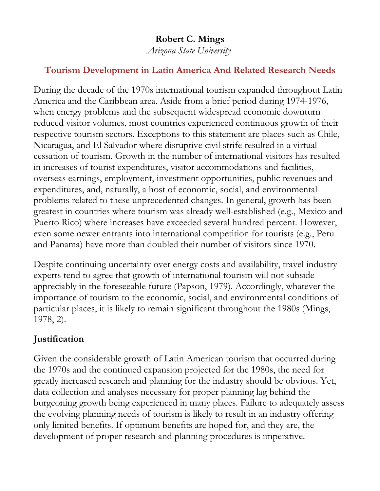# **Robert C. Mings**

*Arizona State University*

### **Tourism Development in Latin America And Related Research Needs**

During the decade of the 1970s international tourism expanded throughout Latin America and the Caribbean area. Aside from a brief period during 1974-1976, when energy problems and the subsequent widespread economic downturn reduced visitor volumes, most countries experienced continuous growth of their respective tourism sectors. Exceptions to this statement are places such as Chile, Nicaragua, and El Salvador where disruptive civil strife resulted in a virtual cessation of tourism. Growth in the number of international visitors has resulted in increases of tourist expenditures, visitor accommodations and facilities, overseas earnings, employment, investment opportunities, public revenues and expenditures, and, naturally, a host of economic, social, and environmental problems related to these unprecedented changes. In general, growth has been greatest in countries where tourism was already well-established (e.g., Mexico and Puerto Rico) where increases have exceeded several hundred percent. However, even some newer entrants into international competition for tourists (e.g., Peru and Panama) have more than doubled their number of visitors since 1970.

Despite continuing uncertainty over energy costs and availability, travel industry experts tend to agree that growth of international tourism will not subside appreciably in the foreseeable future (Papson, 1979). Accordingly, whatever the importance of tourism to the economic, social, and environmental conditions of particular places, it is likely to remain significant throughout the 1980s (Mings, 1978, 2).

# **Justification**

Given the considerable growth of Latin American tourism that occurred during the 1970s and the continued expansion projected for the 1980s, the need for greatly increased research and planning for the industry should be obvious. Yet, data collection and analyses necessary for proper planning lag behind the burgeoning growth being experienced in many places. Failure to adequately assess the evolving planning needs of tourism is likely to result in an industry offering only limited benefits. If optimum benefits are hoped for, and they are, the development of proper research and planning procedures is imperative.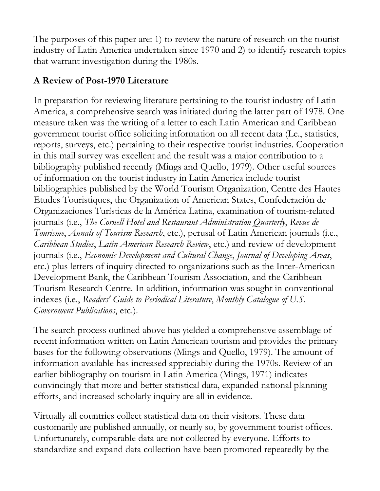The purposes of this paper are: 1) to review the nature of research on the tourist industry of Latin America undertaken since 1970 and 2) to identify research topics that warrant investigation during the 1980s.

# **A Review of Post-1970 Literature**

In preparation for reviewing literature pertaining to the tourist industry of Latin America, a comprehensive search was initiated during the latter part of 1978. One measure taken was the writing of a letter to each Latin American and Caribbean government tourist office soliciting information on all recent data (Le., statistics, reports, surveys, etc.) pertaining to their respective tourist industries. Cooperation in this mail survey was excellent and the result was a major contribution to a bibliography published recently (Mings and Quello, 1979). Other useful sources of information on the tourist industry in Latin America include tourist bibliographies published by the World Tourism Organization, Centre des Hautes Etudes Touristiques, the Organization of American States, Confederación de Organizaciones Turísticas de la América Latina, examination of tourism-related journals (i.e., *The Cornell Hotel and Restaurant Administration Quarterly*, *Revue de Tourisme*, *Annals of Tourism Research*, etc.), perusal of Latin American journals (i.e., *Caribbean Studies*, *Latin American Research Review*, etc.) and review of development journals (i.e., *Economic Development and Cultural Change*, *Journal of Developing Areas*, etc.) plus letters of inquiry directed to organizations such as the Inter-American Development Bank, the Caribbean Tourism Association, and the Caribbean Tourism Research Centre. In addition, information was sought in conventional indexes (i.e., *Readers' Guide to Periodical Literature*, *Monthly Catalogue of U.S. Government Publications*, etc.).

The search process outlined above has yielded a comprehensive assemblage of recent information written on Latin American tourism and provides the primary bases for the following observations (Mings and Quello, 1979). The amount of information available has increased appreciably during the 1970s. Review of an earlier bibliography on tourism in Latin America (Mings, 1971) indicates convincingly that more and better statistical data, expanded national planning efforts, and increased scholarly inquiry are all in evidence.

Virtually all countries collect statistical data on their visitors. These data customarily are published annually, or nearly so, by government tourist offices. Unfortunately, comparable data are not collected by everyone. Efforts to standardize and expand data collection have been promoted repeatedly by the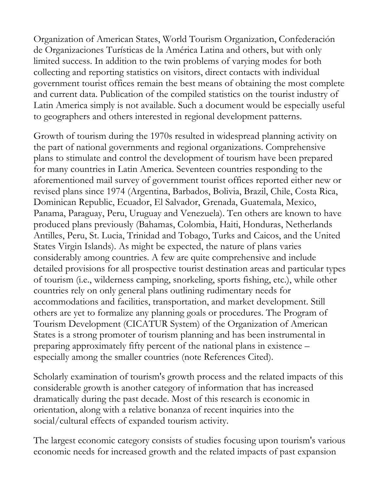Organization of American States, World Tourism Organization, Confederación de Organizaciones Turísticas de la América Latina and others, but with only limited success. In addition to the twin problems of varying modes for both collecting and reporting statistics on visitors, direct contacts with individual government tourist offices remain the best means of obtaining the most complete and current data. Publication of the compiled statistics on the tourist industry of Latin America simply is not available. Such a document would be especially useful to geographers and others interested in regional development patterns.

Growth of tourism during the 1970s resulted in widespread planning activity on the part of national governments and regional organizations. Comprehensive plans to stimulate and control the development of tourism have been prepared for many countries in Latin America. Seventeen countries responding to the aforementioned mail survey of government tourist offices reported either new or revised plans since 1974 (Argentina, Barbados, Bolivia, Brazil, Chile, Costa Rica, Dominican Republic, Ecuador, El Salvador, Grenada, Guatemala, Mexico, Panama, Paraguay, Peru, Uruguay and Venezuela). Ten others are known to have produced plans previously (Bahamas, Colombia, Haiti, Honduras, Netherlands Antilles, Peru, St. Lucia, Trinidad and Tobago, Turks and Caicos, and the United States Virgin Islands). As might be expected, the nature of plans varies considerably among countries. A few are quite comprehensive and include detailed provisions for all prospective tourist destination areas and particular types of tourism (i.e., wilderness camping, snorkeling, sports fishing, etc.), while other countries rely on only general plans outlining rudimentary needs for accommodations and facilities, transportation, and market development. Still others are yet to formalize any planning goals or procedures. The Program of Tourism Development (CICATUR System) of the Organization of American States is a strong promoter of tourism planning and has been instrumental in preparing approximately fifty percent of the national plans in existence – especially among the smaller countries (note References Cited).

Scholarly examination of tourism's growth process and the related impacts of this considerable growth is another category of information that has increased dramatically during the past decade. Most of this research is economic in orientation, along with a relative bonanza of recent inquiries into the social/cultural effects of expanded tourism activity.

The largest economic category consists of studies focusing upon tourism's various economic needs for increased growth and the related impacts of past expansion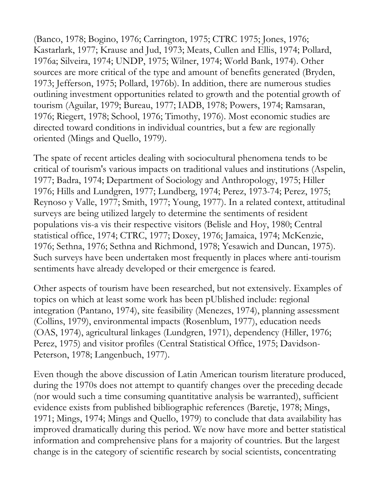(Banco, 1978; Bogino, 1976; Carrington, 1975; CTRC 1975; Jones, 1976; Kastarlark, 1977; Krause and Jud, 1973; Meats, Cullen and Ellis, 1974; Pollard, 1976a; Silveira, 1974; UNDP, 1975; Wilner, 1974; World Bank, 1974). Other sources are more critical of the type and amount of benefits generated (Bryden, 1973; Jefferson, 1975; Pollard, 1976b). In addition, there are numerous studies outlining investment opportunities related to growth and the potential growth of tourism (Aguilar, 1979; Bureau, 1977; IADB, 1978; Powers, 1974; Ramsaran, 1976; Riegert, 1978; School, 1976; Timothy, 1976). Most economic studies are directed toward conditions in individual countries, but a few are regionally oriented (Mings and Quello, 1979).

The spate of recent articles dealing with sociocultural phenomena tends to be critical of tourism's various impacts on traditional values and institutions (Aspelin, 1977; Badra, 1974; Department of Sociology and Anthropology, 1975; Hiller 1976; Hills and Lundgren, 1977; Lundberg, 1974; Perez, 1973-74; Perez, 1975; Reynoso y Valle, 1977; Smith, 1977; Young, 1977). In a related context, attitudinal surveys are being utilized largely to determine the sentiments of resident populations vis-a vis their respective visitors (Belisle and Hoy, 1980; Central statistical office, 1974; CTRC, 1977; Doxey, 1976; Jamaica, 1974; McKenzie, 1976; Sethna, 1976; Sethna and Richmond, 1978; Yesawich and Duncan, 1975). Such surveys have been undertaken most frequently in places where anti-tourism sentiments have already developed or their emergence is feared.

Other aspects of tourism have been researched, but not extensively. Examples of topics on which at least some work has been pUblished include: regional integration (Pantano, 1974), site feasibility (Menezes, 1974), planning assessment (Collins, 1979), environmental impacts (Rosenblum, 1977), education needs (OAS, 1974), agricultural linkages (Lundgren, 1971), dependency (Hiller, 1976; Perez, 1975) and visitor profiles (Central Statistical Office, 1975; Davidson-Peterson, 1978; Langenbuch, 1977).

Even though the above discussion of Latin American tourism literature produced, during the 1970s does not attempt to quantify changes over the preceding decade (nor would such a time consuming quantitative analysis be warranted), sufficient evidence exists from published bibliographic references (Baretje, 1978; Mings, 1971; Mings, 1974; Mings and Quello, 1979) to conclude that data availability has improved dramatically during this period. We now have more and better statistical information and comprehensive plans for a majority of countries. But the largest change is in the category of scientific research by social scientists, concentrating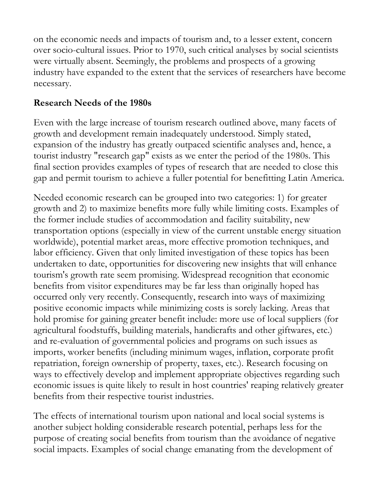on the economic needs and impacts of tourism and, to a lesser extent, concern over socio-cultural issues. Prior to 1970, such critical analyses by social scientists were virtually absent. Seemingly, the problems and prospects of a growing industry have expanded to the extent that the services of researchers have become necessary.

#### **Research Needs of the 1980s**

Even with the large increase of tourism research outlined above, many facets of growth and development remain inadequately understood. Simply stated, expansion of the industry has greatly outpaced scientific analyses and, hence, a tourist industry "research gap" exists as we enter the period of the 1980s. This final section provides examples of types of research that are needed to close this gap and permit tourism to achieve a fuller potential for benefitting Latin America.

Needed economic research can be grouped into two categories: 1) for greater growth and 2) to maximize benefits more fully while limiting costs. Examples of the former include studies of accommodation and facility suitability, new transportation options (especially in view of the current unstable energy situation worldwide), potential market areas, more effective promotion techniques, and labor efficiency. Given that only limited investigation of these topics has been undertaken to date, opportunities for discovering new insights that will enhance tourism's growth rate seem promising. Widespread recognition that economic benefits from visitor expenditures may be far less than originally hoped has occurred only very recently. Consequently, research into ways of maximizing positive economic impacts while minimizing costs is sorely lacking. Areas that hold promise for gaining greater benefit include: more use of local suppliers (for agricultural foodstuffs, building materials, handicrafts and other giftwares, etc.) and re-evaluation of governmental policies and programs on such issues as imports, worker benefits (including minimum wages, inflation, corporate profit repatriation, foreign ownership of property, taxes, etc.). Research focusing on ways to effectively develop and implement appropriate objectives regarding such economic issues is quite likely to result in host countries' reaping relatively greater benefits from their respective tourist industries.

The effects of international tourism upon national and local social systems is another subject holding considerable research potential, perhaps less for the purpose of creating social benefits from tourism than the avoidance of negative social impacts. Examples of social change emanating from the development of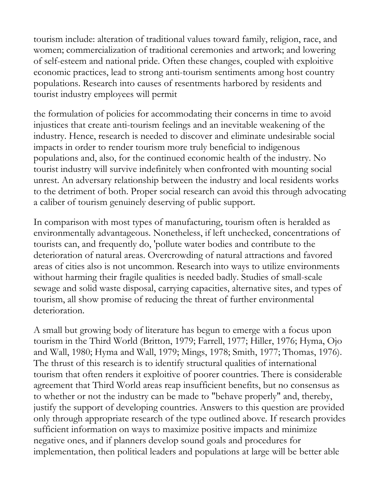tourism include: alteration of traditional values toward family, religion, race, and women; commercialization of traditional ceremonies and artwork; and lowering of self-esteem and national pride. Often these changes, coupled with exploitive economic practices, lead to strong anti-tourism sentiments among host country populations. Research into causes of resentments harbored by residents and tourist industry employees will permit

the formulation of policies for accommodating their concerns in time to avoid injustices that create anti-tourism feelings and an inevitable weakening of the industry. Hence, research is needed to discover and eliminate undesirable social impacts in order to render tourism more truly beneficial to indigenous populations and, also, for the continued economic health of the industry. No tourist industry will survive indefinitely when confronted with mounting social unrest. An adversary relationship between the industry and local residents works to the detriment of both. Proper social research can avoid this through advocating a caliber of tourism genuinely deserving of public support.

In comparison with most types of manufacturing, tourism often is heralded as environmentally advantageous. Nonetheless, if left unchecked, concentrations of tourists can, and frequently do, 'pollute water bodies and contribute to the deterioration of natural areas. Overcrowding of natural attractions and favored areas of cities also is not uncommon. Research into ways to utilize environments without harming their fragile qualities is needed badly. Studies of small-scale sewage and solid waste disposal, carrying capacities, alternative sites, and types of tourism, all show promise of reducing the threat of further environmental deterioration.

A small but growing body of literature has begun to emerge with a focus upon tourism in the Third World (Britton, 1979; Farrell, 1977; Hiller, 1976; Hyma, Ojo and Wall, 1980; Hyma and Wall, 1979; Mings, 1978; Smith, 1977; Thomas, 1976). The thrust of this research is to identify structural qualities of international tourism that often renders it exploitive of poorer countries. There is considerable agreement that Third World areas reap insufficient benefits, but no consensus as to whether or not the industry can be made to "behave properly" and, thereby, justify the support of developing countries. Answers to this question are provided only through appropriate research of the type outlined above. If research provides sufficient information on ways to maximize positive impacts and minimize negative ones, and if planners develop sound goals and procedures for implementation, then political leaders and populations at large will be better able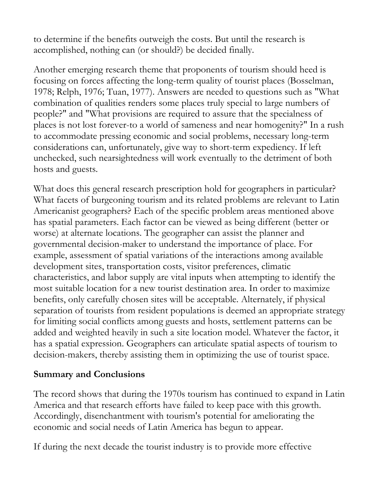to determine if the benefits outweigh the costs. But until the research is accomplished, nothing can (or should?) be decided finally.

Another emerging research theme that proponents of tourism should heed is focusing on forces affecting the long-term quality of tourist places (Bosselman, 1978; Relph, 1976; Tuan, 1977). Answers are needed to questions such as "What combination of qualities renders some places truly special to large numbers of people?" and "What provisions are required to assure that the specialness of places is not lost forever-to a world of sameness and near homogenity?" In a rush to accommodate pressing economic and social problems, necessary long-term considerations can, unfortunately, give way to short-term expediency. If left unchecked, such nearsightedness will work eventually to the detriment of both hosts and guests.

What does this general research prescription hold for geographers in particular? What facets of burgeoning tourism and its related problems are relevant to Latin Americanist geographers? Each of the specific problem areas mentioned above has spatial parameters. Each factor can be viewed as being different (better or worse) at alternate locations. The geographer can assist the planner and governmental decision-maker to understand the importance of place. For example, assessment of spatial variations of the interactions among available development sites, transportation costs, visitor preferences, climatic characteristics, and labor supply are vital inputs when attempting to identify the most suitable location for a new tourist destination area. In order to maximize benefits, only carefully chosen sites will be acceptable. Alternately, if physical separation of tourists from resident populations is deemed an appropriate strategy for limiting social conflicts among guests and hosts, settlement patterns can be added and weighted heavily in such a site location model. Whatever the factor, it has a spatial expression. Geographers can articulate spatial aspects of tourism to decision-makers, thereby assisting them in optimizing the use of tourist space.

#### **Summary and Conclusions**

The record shows that during the 1970s tourism has continued to expand in Latin America and that research efforts have failed to keep pace with this growth. Accordingly, disenchantment with tourism's potential for ameliorating the economic and social needs of Latin America has begun to appear.

If during the next decade the tourist industry is to provide more effective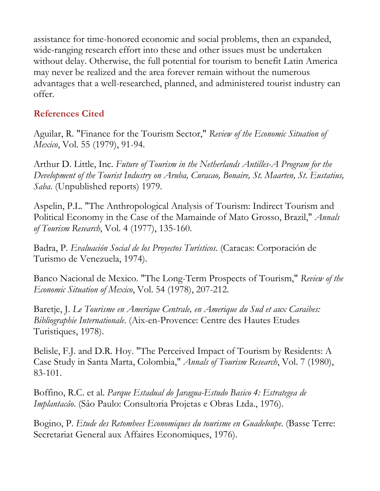assistance for time-honored economic and social problems, then an expanded, wide-ranging research effort into these and other issues must be undertaken without delay. Otherwise, the full potential for tourism to benefit Latin America may never be realized and the area forever remain without the numerous advantages that a well-researched, planned, and administered tourist industry can offer.

## **References Cited**

Aguilar, R. "Finance for the Tourism Sector," *Review of the Economic Situation of Mexico*, Vol. 55 (1979), 91-94.

Arthur D. Little, Inc. *Future of Tourism in the Netherlands Antilles-A Program for the Development of the Tourist Industry on Aruba, Curacao, Bonaire, St. Maarten, St. Eustatius, Saba*. (Unpublished reports) 1979.

Aspelin, P.L. "The Anthropological Analysis of Tourism: Indirect Tourism and Political Economy in the Case of the Mamainde of Mato Grosso, Brazil," *Annals of Tourism Research*, Vol. 4 (1977), 135-160.

Badra, P. *Evaluación Social de los Proyectos Turísticos*. (Caracas: Corporación de Turismo de Venezuela, 1974).

Banco Nacional de Mexico. "The Long-Term Prospects of Tourism," *Review of the Economic Situation of Mexico*, Vol. 54 (1978), 207-212.

Baretje, J. *Le Tourisme en Amerique Centrale, en Amerique du Sud et aux Caraibes: Bibliographie Internationale*. (Aix-en-Provence: Centre des Hautes Etudes Turistiques, 1978).

Belisle, F.J. and D.R. Hoy. "The Perceived Impact of Tourism by Residents: A Case Study in Santa Marta, Colombia," *Annals of Tourism Research*, Vol. 7 (1980), 83-101.

Boffino, R.C. et al. *Parque Estadual do Jaragua-Estudo Basico 4: Estrategea de Implantacâo*. (Sâo Paulo: Consultoria Projetas e Obras Ltda., 1976).

Bogino, P. *Etude des Retombees Economiques du tourisme en Guadeloupe*. (Basse Terre: Secretariat General aux Affaires Economiques, 1976).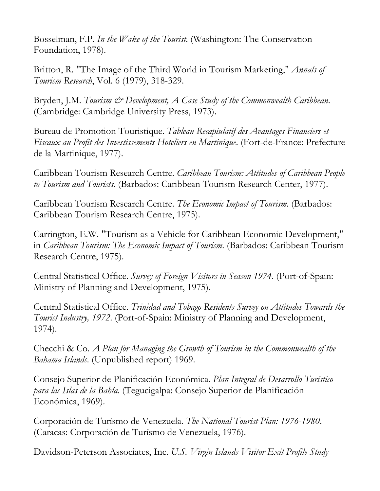Bosselman, F.P. *In the Wake of the Tourist*. (Washington: The Conservation Foundation, 1978).

Britton, R. "The Image of the Third World in Tourism Marketing," *Annals of Tourism Research*, Vol. 6 (1979), 318-329.

Bryden, J.M. *Tourism & Development, A Case Study of the Commonwealth Caribbean*. (Cambridge: Cambridge University Press, 1973).

Bureau de Promotion Touristique. *Tableau Recapiulatif des Avantages Financiers et Fiscaux au Profit des Investissements Hoteliers en Martinique*. (Fort-de-France: Prefecture de la Martinique, 1977).

Caribbean Tourism Research Centre. *Caribbean Tourism: Attitudes of Caribbean People to Tourism and Tourists*. (Barbados: Caribbean Tourism Research Center, 1977).

Caribbean Tourism Research Centre. *The Economic Impact of Tourism*. (Barbados: Caribbean Tourism Research Centre, 1975).

Carrington, E.W. "Tourism as a Vehicle for Caribbean Economic Development," in *Caribbean Tourism: The Economic Impact of Tourism*. (Barbados: Caribbean Tourism Research Centre, 1975).

Central Statistical Office. *Survey of Foreign Visitors in Season 1974*. (Port-of-Spain: Ministry of Planning and Development, 1975).

Central Statistical Office. *Trinidad and Tobago Residents Survey on Attitudes Towards the Tourist Industry, 1972*. (Port-of-Spain: Ministry of Planning and Development, 1974).

Checchi & Co. *A Plan for Managing the Growth of Tourism in the Commonwealth of the Bahama Islands*. (Unpublished report) 1969.

Consejo Superior de Planificación Económica. *Plan Integral de Desarrollo Turístico para las Islas de la Bahía*. (Tegucigalpa: Consejo Superior de Planificación Económica, 1969).

Corporación de Turísmo de Venezuela. *The National Tourist Plan: 1976-1980*. (Caracas: Corporación de Turísmo de Venezuela, 1976).

Davidson-Peterson Associates, Inc. *U.S. Virgin Islands Visitor Exit Profile Study*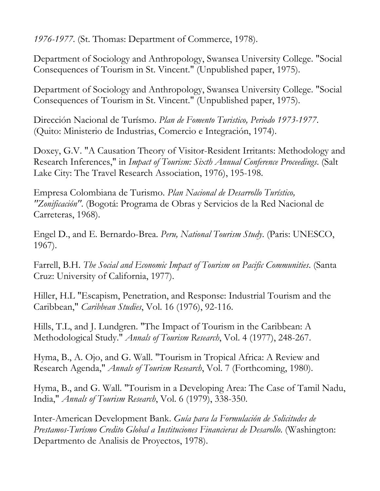*1976-1977*. (St. Thomas: Department of Commerce, 1978).

Department of Sociology and Anthropology, Swansea University College. "Social Consequences of Tourism in St. Vincent." (Unpublished paper, 1975).

Department of Sociology and Anthropology, Swansea University College. "Social Consequences of Tourism in St. Vincent." (Unpublished paper, 1975).

Dirección Nacional de Turísmo. *Plan de Fomento Turistico, Periodo 1973-1977*. (Quito: Ministerio de Industrias, Comercio e Integración, 1974).

Doxey, G.V. "A Causation Theory of Visitor-Resident Irritants: Methodology and Research Inferences," in *Impact of Tourism: Sixth Annual Conference Proceedings*. (Salt Lake City: The Travel Research Association, 1976), 195-198.

Empresa Colombiana de Turismo. *Plan Nacional de Desarrollo Turístico, "Zonificación"*. (Bogotá: Programa de Obras y Servicios de la Red Nacional de Carreteras, 1968).

Engel D., and E. Bernardo-Brea. *Peru, National Tourism Study*. (Paris: UNESCO, 1967).

Farrell, B.H. *The Social and Economic Impact of Tourism on Pacific Communities*. (Santa Cruz: University of California, 1977).

Hiller, H.L "Escapism, Penetration, and Response: Industrial Tourism and the Caribbean," *Caribbean Studies*, Vol. 16 (1976), 92-116.

Hills, T.L, and J. Lundgren. "The Impact of Tourism in the Caribbean: A Methodological Study." *Annals of Tourism Research*, Vol. 4 (1977), 248-267.

Hyma, B., A. Ojo, and G. Wall. "Tourism in Tropical Africa: A Review and Research Agenda," *Annals of Tourism Research*, Vol. 7 (Forthcoming, 1980).

Hyma, B., and G. Wall. "Tourism in a Developing Area: The Case of Tamil Nadu, India," *Annals of Tourism Research*, Vol. 6 (1979), 338-350.

Inter-American Development Bank. *Guía para la Formulación de Solicitudes de Prestamos-Turísmo Credito Global a Instituciones Financieras de Desarollo*. (Washington: Departmento de Analisis de Proyectos, 1978).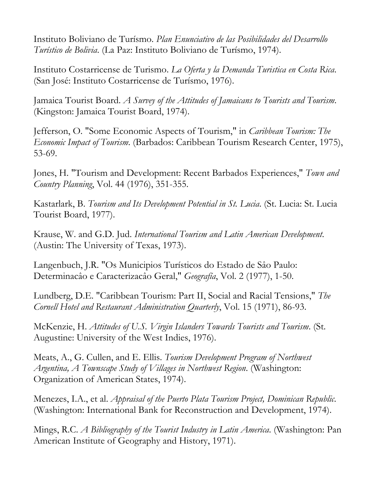Instituto Boliviano de Turísmo. *Plan Enunciativo de las Posibilidades del Desarrollo Turístico de Bolivia*. (La Paz: Instituto Boliviano de Turísmo, 1974).

Instituto Costarricense de Turismo. *La Oferta y la Demanda Turistica en Costa Rica*. (San José: Instituto Costarricense de Turísmo, 1976).

Jamaica Tourist Board. *A Survey of the Attitudes of Jamaicans to Tourists and Tourism*. (Kingston: Jamaica Tourist Board, 1974).

Jefferson, O. "Some Economic Aspects of Tourism," in *Caribbean Tourism: The Economic Impact of Tourism*. (Barbados: Caribbean Tourism Research Center, 1975), 53-69.

Jones, H. "Tourism and Development: Recent Barbados Experiences," *Town and Country Planning*, Vol. 44 (1976), 351-355.

Kastarlark, B. *Tourism and Its Development Potential in St. Lucia*. (St. Lucia: St. Lucia Tourist Board, 1977).

Krause, W. and G.D. Jud. *International Tourism and Latin American Development*. (Austin: The University of Texas, 1973).

Langenbuch, J.R. "Os Municipios Turísticos do Estado de Sâo Paulo: Determinacâo e Caracterizacâo Geral," *Geografía*, Vol. 2 (1977), 1-50.

Lundberg, D.E. "Caribbean Tourism: Part II, Social and Racial Tensions," *The Cornell Hotel and Restaurant Administration Quarterly*, Vol. 15 (1971), 86-93.

McKenzie, H. *Attitudes of U.S. Virgin Islanders Towards Tourists and Tourism*. (St. Augustine: University of the West Indies, 1976).

Meats, A., G. Cullen, and E. Ellis. *Tourism Development Program of Northwest Argentina, A Townscape Study of Villages in Northwest Region*. (Washington: Organization of American States, 1974).

Menezes, I.A., et al. *Appraisal of the Puerto Plata Tourism Project, Dominican Republic*. (Washington: International Bank for Reconstruction and Development, 1974).

Mings, R.C. *A Bibliography of the Tourist Industry in Latin America*. (Washington: Pan American Institute of Geography and History, 1971).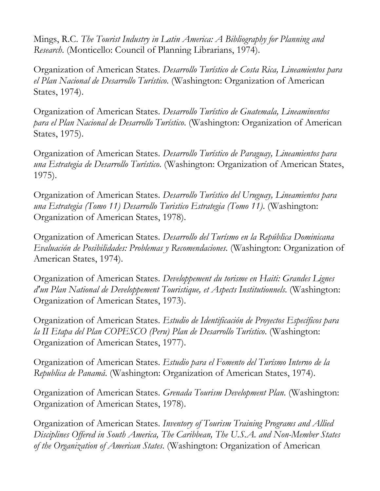Mings, R.C. *The Tourist Industry in Latin America: A Bibliography for Planning and Research*. (Monticello: Council of Planning Librarians, 1974).

Organization of American States. *Desarrollo Turístico de Costa Rica, Lineamientos para el Plan Nacional de Desarrollo Turístico*. (Washington: Organization of American States, 1974).

Organization of American States. *Desarrollo Turístico de Guatemala, Lineaminentos para el Plan Nacional de Desarrollo Turístico*. (Washington: Organization of American States, 1975).

Organization of American States. *Desarrollo Turístico de Paraguay, Lineamientos para una Estrategia de Desarrollo Turístico*. (Washington: Organization of American States, 1975).

Organization of American States. *Desarrollo Turístico del Uruguay, Lineamientos para una Estrategia (Tomo 11) Desarrollo Turistico Estrategia (Tomo 11)*. (Washington: Organization of American States, 1978).

Organization of American States. *Desarrollo del Turísmo en la República Dominicana Evaluación de Posibilidades: Problemas y Recomendaciones*. (Washington: Organization of American States, 1974).

Organization of American States. *Developpement du torisme en Haiti: Grandes Lignes d'un Plan National de Developpement Touristique, et Aspects Institutionnels*. (Washington: Organization of American States, 1973).

Organization of American States. *Estudio de Identificación de Proyectos Específicos para la II Etapa del Plan COPESCO (Peru) Plan de Desarrollo Turístico*. (Washington: Organization of American States, 1977).

Organization of American States. *Estudio para el Fomento del Turísmo Interno de la Republica de Panamá*. (Washington: Organization of American States, 1974).

Organization of American States. *Grenada Tourism Development Plan*. (Washington: Organization of American States, 1978).

Organization of American States. *Inventory of Tourism Training Programs and Allied Disciplines Offered in South America, The Caribbean, The U.S.A. and Non-Member States of the Organization of American States*. (Washington: Organization of American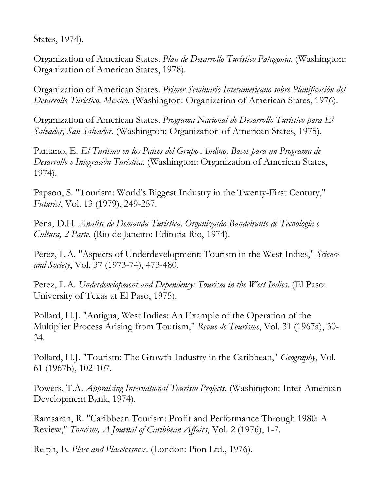States, 1974).

Organization of American States. *Plan de Desarrollo Turístico Patagonia*. (Washington: Organization of American States, 1978).

Organization of American States. *Primer Seminario Interamericano sobre Planificación del Desarrollo Turístico, Mexico*. (Washington: Organization of American States, 1976).

Organization of American States. *Programa Nacional de Desarrollo Turístico para El Salvador, San Salvador*. (Washington: Organization of American States, 1975).

Pantano, E. *El Turísmo en los Paises del Grupo Andino, Bases para un Programa de Desarrollo e Integración Turística*. (Washington: Organization of American States, 1974).

Papson, S. "Tourism: World's Biggest Industry in the Twenty-First Century," *Futurist*, Vol. 13 (1979), 249-257.

Pena, D.H. *Analise de Demanda Turística, Organizacâo Bandeirante de Tecnología e Cultura, 2 Parte*. (Rio de Janeiro: Editoria Rio, 1974).

Perez, L.A. "Aspects of Underdevelopment: Tourism in the West Indies," *Science and Society*, Vol. 37 (1973-74), 473-480.

Perez, L.A. *Underdevelopment and Dependency: Tourism in the West Indies*. (El Paso: University of Texas at El Paso, 1975).

Pollard, H.J. "Antigua, West Indies: An Example of the Operation of the Multiplier Process Arising from Tourism," *Revue de Tourisme*, Vol. 31 (1967a), 30- 34.

Pollard, H.J. "Tourism: The Growth Industry in the Caribbean," *Geography*, Vol. 61 (1967b), 102-107.

Powers, T.A. *Appraising International Tourism Projects*. (Washington: Inter-American Development Bank, 1974).

Ramsaran, R. "Caribbean Tourism: Profit and Performance Through 1980: A Review," *Tourism, A Journal of Caribbean Affairs*, Vol. 2 (1976), 1-7.

Relph, E. *Place and Placelessness*. (London: Pion Ltd., 1976).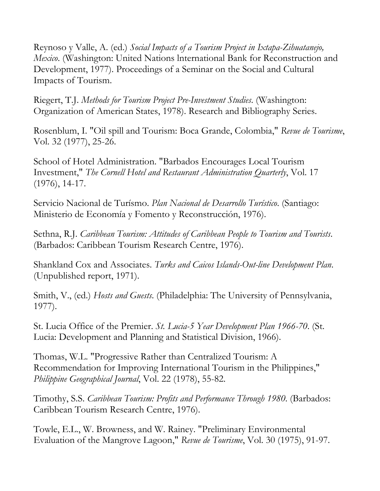Reynoso y Valle, A. (ed.) *Social Impacts of a Tourism Project in Ixtapa-Zihuatanejo, Mexico*. (Washington: United Nations lnternational Bank for Reconstruction and Development, 1977). Proceedings of a Seminar on the Social and Cultural Impacts of Tourism.

Riegert, T.J. *Methods for Tourism Project Pre-Investment Studies*. (Washington: Organization of American States, 1978). Research and Bibliography Series.

Rosenblum, I. "Oil spill and Tourism: Boca Grande, Colombia," *Revue de Tourisme*, Vol. 32 (1977), 25-26.

School of Hotel Administration. "Barbados Encourages Local Tourism Investment," *The Cornell Hotel and Restaurant Administration Quarterly*, Vol. 17 (1976), 14-17.

Servicio Nacional de Turísmo. *Plan Nacional de Desarrollo Turístico*. (Santiago: Ministerio de Economía y Fomento y Reconstrucción, 1976).

Sethna, R.J. *Caribbean Tourism: Attitudes of Caribbean People to Tourism and Tourists*. (Barbados: Caribbean Tourism Research Centre, 1976).

Shankland Cox and Associates. *Turks and Caicos Islands-Out-line Development Plan*. (Unpublished report, 1971).

Smith, V., (ed.) *Hosts and Guests*. (Philadelphia: The University of Pennsylvania, 1977).

St. Lucia Office of the Premier. *St. Lucia-5 Year Development Plan 1966-70*. (St. Lucia: Development and Planning and Statistical Division, 1966).

Thomas, W.L. "Progressive Rather than Centralized Tourism: A Recommendation for Improving International Tourism in the Philippines," *Philippine Geographical Journal*, Vol. 22 (1978), 55-82.

Timothy, S.S. *Caribbean Tourism: Profits and Performance Through 1980*. (Barbados: Caribbean Tourism Research Centre, 1976).

Towle, E.L., W. Browness, and W. Rainey. "Preliminary Environmental Evaluation of the Mangrove Lagoon," *Revue de Tourisme*, Vol. 30 (1975), 91-97.